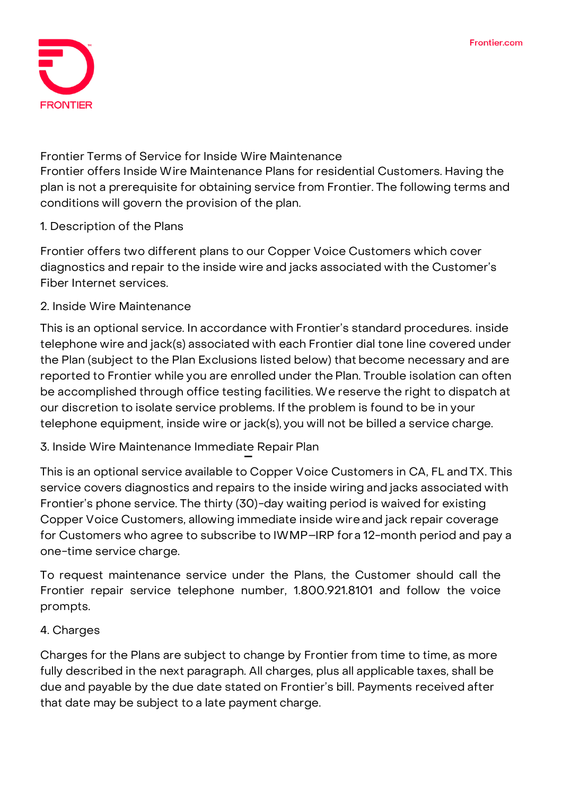

**Frontier Terms of Service for Inside Wire Maintenance** Frontier offers Inside Wire Maintenance Plans for residential Customers. Having the plan is not a prerequisite for obtaining service from Frontier. The following terms and conditions will govern the provision of the plan.

# **1. Description of the Plans**

Frontier offers two different plans to our Copper Voice Customers which cover diagnostics and repair to the inside wire and jacks associated with the Customer's Fiber Internet services.

### **2. Inside Wire Maintenance**

This is an optional service. In accordance with Frontier's standard procedures. inside telephone wire and jack(s) associated with each Frontier dial tone line covered under the Plan (subject to the Plan Exclusions listed below) that become necessary and are reported to Frontier while you are enrolled under the Plan. Trouble isolation can often be accomplished through office testing facilities.We reserve the right to dispatch at our discretion to isolate service problems. Ifthe problem is found to be in your telephone equipment, inside wire or jack(s), you will not be billed a service charge.

# **3. Inside Wire Maintenance Immediate Repair Plan**

This is an optional service available to Copper Voice Customers in CA, FL andTX. This service covers diagnostics and repairs to the inside wiring and jacks associated with Frontier's phone service. The thirty (30)-day waiting period is waived for existing Copper Voice Customers, allowing immediate inside wireand jack repair coverage for Customers who agree to subscribe to IWMP–IRP fora 12-month period and pay a one-time service charge.

To request maintenance service under the Plans, the Customer should call the Frontier repair service telephone number, **1.800.921.8101** and follow the voice prompts.

### **4. Charges**

Charges for the Plans are subject to change by Frontier from time to time, as more fully described in the next paragraph. All charges, plus all applicable taxes, shall be due and payable by the due date stated on Frontier's bill. Payments received after that date may be subject to a late payment charge.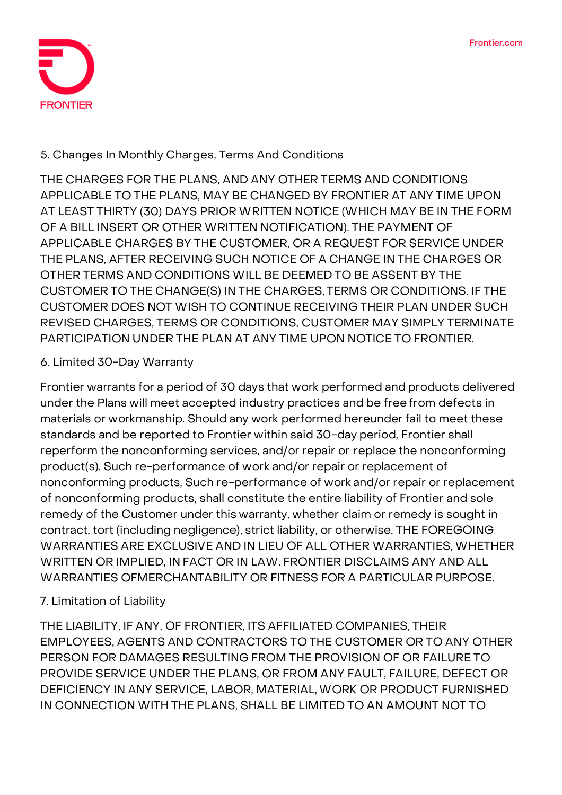

### **5. Changes In Monthly Charges, Terms And Conditions**

THE CHARGES FOR THE PLANS, AND ANY OTHER TERMS AND CONDITIONS APPLICABLE TO THE PLANS, MAY BE CHANGED BY FRONTIER AT ANY TIME UPON AT LEAST THIRTY (30) DAYS PRIOR WRITTEN NOTICE (WHICH MAY BE IN THE FORM OF A BILL INSERT OR OTHER WRITTEN NOTIFICATION). THE PAYMENT OF APPLICABLE CHARGES BY THE CUSTOMER, OR A REQUEST FOR SERVICE UNDER THE PLANS, AFTER RECEIVING SUCH NOTICE OF A CHANGE IN THE CHARGES OR OTHER TERMS AND CONDITIONS WILL BE DEEMED TO BE ASSENT BY THE CUSTOMER TO THE CHANGE(S) IN THE CHARGES, TERMS OR CONDITIONS. IF THE CUSTOMER DOES NOT WISH TO CONTINUE RECEIVING THEIR PLAN UNDER SUCH REVISED CHARGES, TERMS OR CONDITIONS, CUSTOMER MAY SIMPLY TERMINATE PARTICIPATION UNDER THE PLAN AT ANY TIME UPON NOTICE TO FRONTIER.

### **6. Limited 30-Day Warranty**

Frontier warrants for a period of 30 days that work performed and products delivered under the Plans will meet accepted industry practices and be free from defects in materials or workmanship. Should any work performed hereunder fail to meet these standards and be reported to Frontier within said 30-day period, Frontier shall reperform the nonconforming services, and/or repair or replace the nonconforming product(s). Such re-performance of work and/or repair or replacement of nonconforming products, Such re-performance of work and/or repair or replacement of nonconforming products, shall constitute the entire liability of Frontier and sole remedy of the Customer under this warranty, whether claim or remedy is sought in contract, tort (including negligence), strict liability, or otherwise. THE FOREGOING WARRANTIES ARE EXCLUSIVE AND IN LIEU OF ALL OTHER WARRANTIES, WHETHER WRITTEN OR IMPLIED, IN FACT OR IN LAW. FRONTIER DISCLAIMS ANY AND ALL WARRANTIES OFMERCHANTABILITY OR FITNESS FOR A PARTICULAR PURPOSE.

### **7. Limitation of Liability**

THE LIABILITY, IF ANY, OF FRONTIER, ITS AFFILIATED COMPANIES, THEIR EMPLOYEES, AGENTS AND CONTRACTORS TO THE CUSTOMER OR TO ANY OTHER PERSON FOR DAMAGES RESULTING FROM THE PROVISION OF OR FAILURE TO PROVIDE SERVICE UNDER THE PLANS, OR FROM ANY FAULT, FAILURE, DEFECT OR DEFICIENCY IN ANY SERVICE, LABOR, MATERIAL, WORK OR PRODUCT FURNISHED IN CONNECTION WITH THE PLANS, SHALL BE LIMITED TO AN AMOUNT NOT TO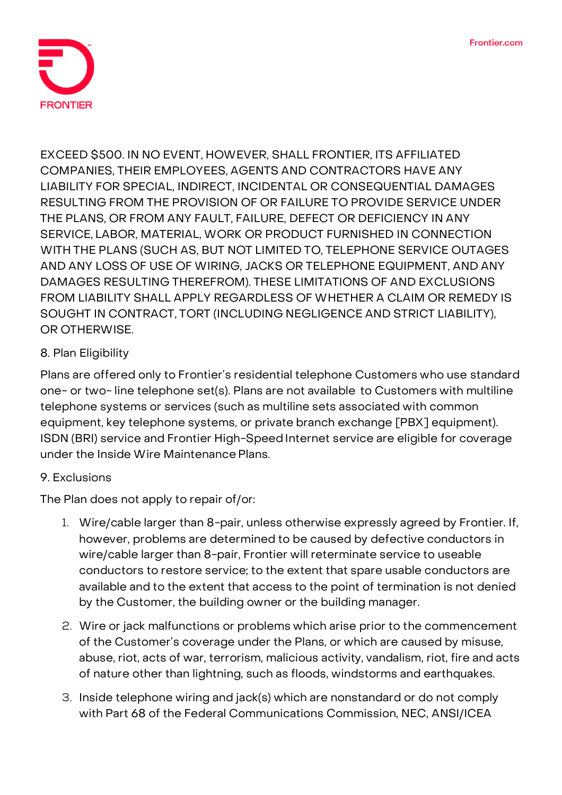

EXCEED \$500. IN NO EVENT, HOWEVER, SHALL FRONTIER, ITS AFFILIATED COMPANIES, THEIR EMPLOYEES, AGENTS AND CONTRACTORS HAVE ANY LIABILITY FOR SPECIAL, INDIRECT, INCIDENTAL OR CONSEQUENTIAL DAMAGES RESULTING FROM THE PROVISION OF OR FAILURE TO PROVIDE SERVICE UNDER THE PLANS, OR FROM ANY FAULT, FAILURE, DEFECT OR DEFICIENCY IN ANY SERVICE, LABOR, MATERIAL, WORK OR PRODUCT FURNISHED IN CONNECTION WITH THE PLANS (SUCH AS, BUT NOT LIMITED TO, TELEPHONE SERVICE OUTAGES AND ANY LOSS OF USE OF WIRING, JACKS OR TELEPHONE EQUIPMENT, AND ANY DAMAGES RESULTING THEREFROM). THESE LIMITATIONS OF AND EXCLUSIONS FROM LIABILITY SHALL APPLY REGARDLESS OF WHETHER A CLAIM OR REMEDY IS SOUGHT IN CONTRACT, TORT (INCLUDING NEGLIGENCE AND STRICT LIABILITY), OR OTHERWISE.

# **8. Plan Eligibility**

Plans are offered only to Frontier's residential telephone Customers who use standard one- or two- line telephone set(s). Plans are not available to Customers with multiline telephone systems or services (such as multiline sets associated with common equipment, key telephone systems, or private branch exchange [PBX] equipment). ISDN (BRI) service and Frontier High-Speed Internet service are eligible for coverage under the Inside Wire Maintenance Plans.

### **9. Exclusions**

The Plan does not apply to repair of/or:

- 1. Wire/cable larger than 8-pair, unless otherwise expressly agreed by Frontier. If, however, problems are determined to be caused by defective conductors in wire/cable larger than 8-pair, Frontier will reterminate service to useable conductors to restore service; to the extent that spare usable conductors are available and to the extent that access to the point of termination is not denied by the Customer, the building owner or the building manager.
- 2. Wire or jack malfunctions or problems which arise prior to the commencement of the Customer's coverage under the Plans, or which are caused by misuse, abuse, riot, acts of war, terrorism, malicious activity, vandalism, riot, fire and acts of nature other than lightning, such as floods, windstorms and earthquakes.
- 3. Inside telephone wiring and jack(s) which are nonstandard or do not comply with Part 68 of the Federal Communications Commission, NEC, ANSI/ICEA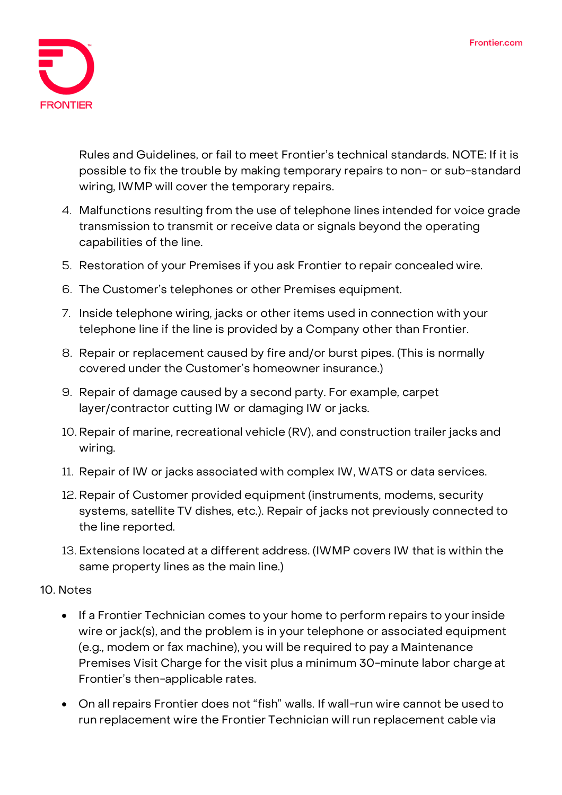

Rules and Guidelines, or fail to meet Frontier's technical standards. NOTE: If it is possible to fix the trouble by making temporary repairs to non- or sub-standard wiring, IWMP will cover the temporary repairs.

- 4. Malfunctions resulting from the use of telephone lines intended for voice grade transmission to transmit or receive data or signals beyond the operating capabilities of the line.
- 5. Restoration of your Premises if you ask Frontier to repair concealed wire.
- 6. The Customer's telephones or other Premises equipment.
- 7. Inside telephone wiring, jacks or other items used in connection with your telephone line if the line is provided by a Company other than Frontier.
- 8. Repair or replacement caused by fire and/or burst pipes. (This is normally covered under the Customer's homeowner insurance.)
- 9. Repair of damage caused by a second party. For example, carpet layer/contractor cutting IW or damaging IW or jacks.
- 10. Repair of marine, recreational vehicle (RV), and construction trailer jacks and wiring.
- 11. Repair of IW or jacks associated with complex IW, WATS or data services.
- 12. Repair of Customer provided equipment (instruments, modems, security systems, satellite TV dishes, etc.). Repair of jacks not previously connected to the line reported.
- 13. Extensions located at a different address. (IWMP covers IW that is within the same property lines as the main line.)
- **10. Notes**
	- If a Frontier Technician comes to your home to perform repairs to your inside wire or jack(s), and the problem is in your telephone or associated equipment (e.g., modem or fax machine), you will be required to pay a Maintenance Premises Visit Charge for the visit plus a minimum 30-minute labor charge at Frontier's then-applicable rates.
	- On all repairs Frontier does not "fish" walls. If wall-run wire cannot be used to run replacement wire the Frontier Technician will run replacement cable via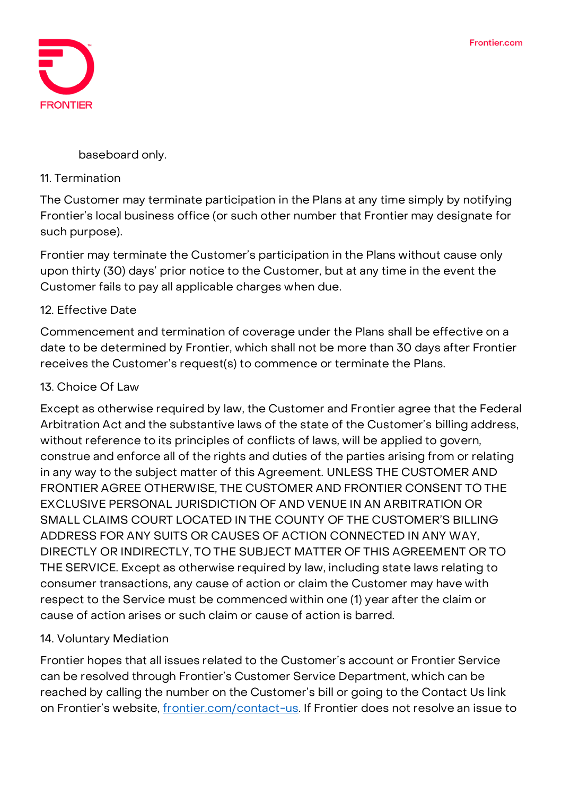

baseboard only.

#### **11. Termination**

The Customer may terminate participation in the Plans at any time simply by notifying Frontier's local business office (or such other number that Frontier may designate for such purpose).

Frontier may terminate the Customer's participation in the Plans without cause only upon thirty (30) days' prior notice to the Customer, but at any time in the event the Customer fails to pay all applicable charges when due.

### **12. Effective Date**

Commencement and termination of coverage under the Plans shall be effective on a date to be determined by Frontier, which shall not be more than 30 days after Frontier receives the Customer's request(s) to commence or terminate the Plans.

# **13. Choice Of Law**

Except as otherwise required by law, the Customer and Frontier agree that the Federal Arbitration Act and the substantive laws of the state of the Customer's billing address, without reference to its principles of conflicts of laws, will be applied to govern, construe and enforce all of the rights and duties of the parties arising from or relating in any way to the subject matter of this Agreement. UNLESS THE CUSTOMER AND FRONTIER AGREE OTHERWISE, THE CUSTOMER AND FRONTIER CONSENT TO THE EXCLUSIVE PERSONAL JURISDICTION OF AND VENUE IN AN ARBITRATION OR SMALL CLAIMS COURT LOCATED IN THE COUNTY OF THE CUSTOMER'S BILLING ADDRESS FOR ANY SUITS OR CAUSES OF ACTION CONNECTED IN ANY WAY, DIRECTLY OR INDIRECTLY, TO THE SUBJECT MATTER OF THIS AGREEMENT OR TO THE SERVICE. Except as otherwise required by law, including state laws relating to consumer transactions, any cause of action or claim the Customer may have with respect to the Service must be commenced within one (1) year after the claim or cause of action arises or such claim or cause of action is barred.

### **14. Voluntary Mediation**

Frontier hopes that all issues related to the Customer's account or Frontier Service can be resolved through Frontier's Customer Service Department, which can be reached by calling the number on the Customer's bill or going to the Contact Us link on Frontier's website, [frontier.com/contact-us.](https://frontier.com/contactus/contact-us#/residential) If Frontier does not resolve an issue to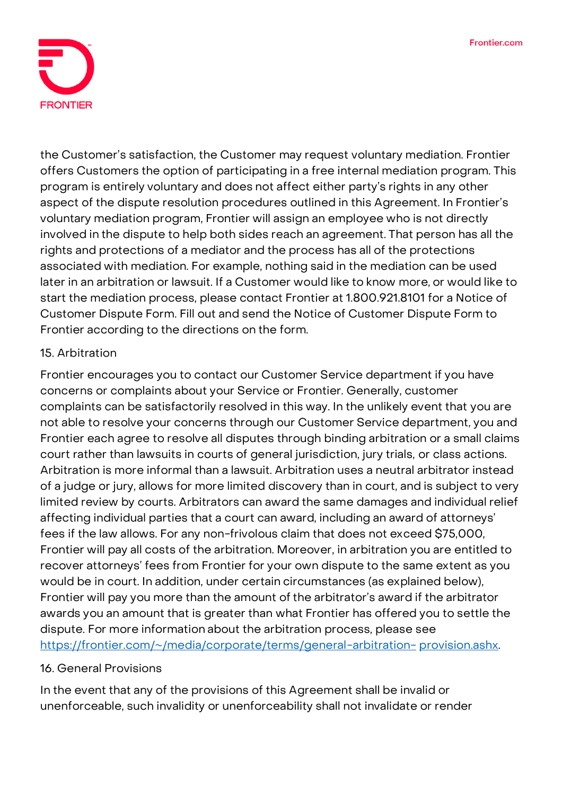

the Customer's satisfaction, the Customer may request voluntary mediation. Frontier offers Customers the option of participating in a free internal mediation program. This program is entirely voluntary and does not affect either party's rights in any other aspect of the dispute resolution procedures outlined in this Agreement. In Frontier's voluntary mediation program, Frontier will assign an employee who is not directly involved in the dispute to help both sides reach an agreement. That person has all the rights and protections of a mediator and the process has all of the protections associated with mediation. For example, nothing said in the mediation can be used later in an arbitration or lawsuit. If a Customer would like to know more, or would like to start the mediation process, please contact Frontier at **1.800.921.8101** for a Notice of Customer Dispute Form. Fill out and send the Notice of Customer Dispute Form to Frontier according to the directions on the form.

#### **15. Arbitration**

Frontier encourages you to contact our Customer Service department if you have concerns or complaints about your Service or Frontier. Generally, customer complaints can be satisfactorily resolved in this way. In the unlikely event that you are not able to resolve your concerns through our Customer Service department, you and Frontier each agree to resolve all disputes through binding arbitration or a small claims court rather than lawsuits in courts of general jurisdiction, jury trials, or class actions. Arbitration is more informal than a lawsuit. Arbitration uses a neutral arbitrator instead of a judge or jury, allows for more limited discovery than in court, and is subject to very limited review by courts. Arbitrators can award the same damages and individual relief affecting individual parties that a court can award, including an award of attorneys' fees if the law allows. For any non-frivolous claim that does not exceed \$75,000, Frontier will pay all costs of the arbitration. Moreover, in arbitration you are entitled to recover attorneys' fees from Frontier for your own dispute to the same extent as you would be in court. In addition, under certain circumstances (as explained below), Frontier will pay you more than the amount of the arbitrator's award if the arbitrator awards you an amount that is greater than what Frontier has offered you to settle the dispute. For more information about the arbitration process, please see **[https://frontier.com/~/media/corporate/terms/general-arbitration-](https://frontier.com/~/media/corporate/terms/general-arbitration-provision.ashx) [provision.ashx](https://frontier.com/~/media/corporate/terms/general-arbitration-provision.ashx)**.

### **16. General Provisions**

In the event that any of the provisions of this Agreement shall be invalid or unenforceable, such invalidity or unenforceability shall not invalidate or render